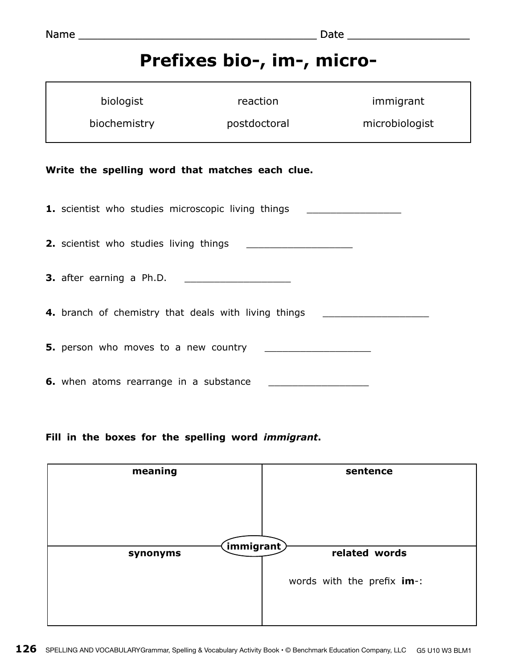## **Prefixes bio-, im-, micro-**

|                                                 | biologist                                                                        | reaction     | immigrant      |  |
|-------------------------------------------------|----------------------------------------------------------------------------------|--------------|----------------|--|
|                                                 | biochemistry                                                                     | postdoctoral | microbiologist |  |
| Write the spelling word that matches each clue. |                                                                                  |              |                |  |
|                                                 | 1. scientist who studies microscopic living things                               |              |                |  |
|                                                 |                                                                                  |              |                |  |
|                                                 |                                                                                  |              |                |  |
|                                                 | 4. branch of chemistry that deals with living things ___________________________ |              |                |  |
|                                                 |                                                                                  |              |                |  |
|                                                 | 6. when atoms rearrange in a substance                                           |              |                |  |

**Fill in the boxes for the spelling word** *immigrant***.**